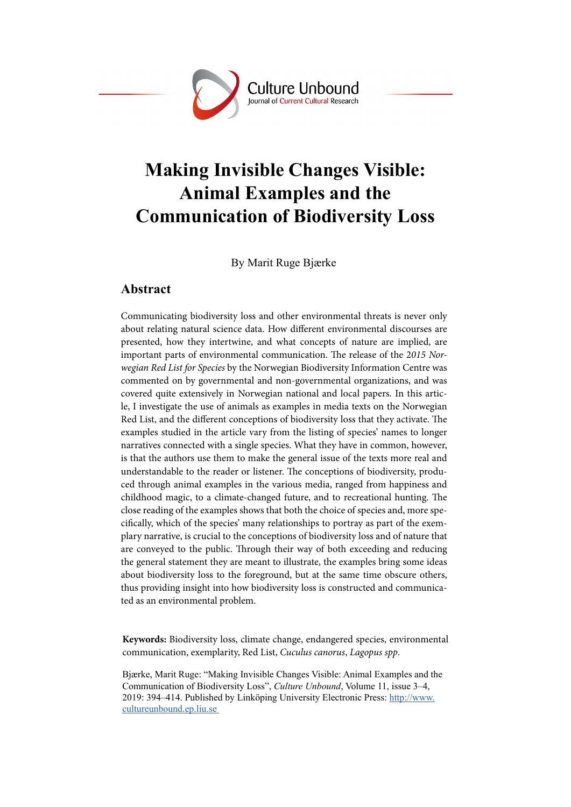

# **Making Invisible Changes Visible: Animal Examples and the Communication of Biodiversity Loss**

By Marit Ruge Bjærke

## **Abstract**

Communicating biodiversity loss and other environmental threats is never only about relating natural science data. How different environmental discourses are presented, how they intertwine, and what concepts of nature are implied, are important parts of environmental communication. The release of the 2*015 Norwegian Red List for Species* by the Norwegian Biodiversity Information Centre was commented on by governmental and non-governmental organizations, and was covered quite extensively in Norwegian national and local papers. In this article, I investigate the use of animals as examples in media texts on the Norwegian Red List, and the different conceptions of biodiversity loss that they activate. The examples studied in the article vary from the listing of species' names to longer narratives connected with a single species. What they have in common, however, is that the authors use them to make the general issue of the texts more real and understandable to the reader or listener. The conceptions of biodiversity, produced through animal examples in the various media, ranged from happiness and childhood magic, to a climate-changed future, and to recreational hunting. The close reading of the examples shows that both the choice of species and, more specifically, which of the species' many relationships to portray as part of the exemplary narrative, is crucial to the conceptions of biodiversity loss and of nature that are conveyed to the public. Through their way of both exceeding and reducing the general statement they are meant to illustrate, the examples bring some ideas about biodiversity loss to the foreground, but at the same time obscure others, thus providing insight into how biodiversity loss is constructed and communicated as an environmental problem.

**Keywords:** Biodiversity loss, climate change, endangered species, environmental communication, exemplarity, Red List, *Cuculus canorus*, *Lagopus spp*.

Bjærke, Marit Ruge: "Making Invisible Changes Visible: Animal Examples and the Communication of Biodiversity Loss", *Culture Unbound*, Volume 11, issue 3–4, 2019: 394–414. Published by Linköping University Electronic Press: [http://www.](http://www.cultureunbound.ep.liu.se ) [cultureunbound.ep.liu.se](http://www.cultureunbound.ep.liu.se )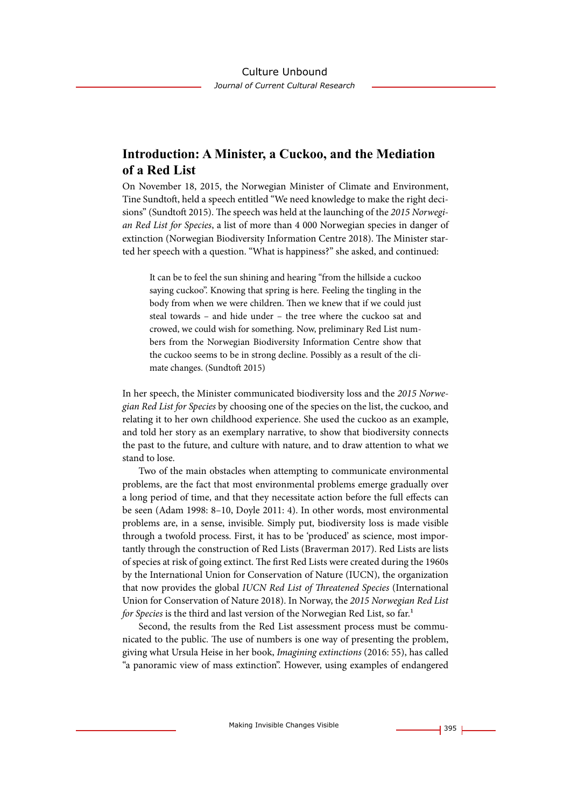## **Introduction: A Minister, a Cuckoo, and the Mediation of a Red List**

On November 18, 2015, the Norwegian Minister of Climate and Environment, Tine Sundtoft, held a speech entitled "We need knowledge to make the right decisions" (Sundtoft 2015). The speech was held at the launching of the *2015 Norwegian Red List for Species*, a list of more than 4 000 Norwegian species in danger of extinction (Norwegian Biodiversity Information Centre 2018). The Minister started her speech with a question. "What is happiness?" she asked, and continued:

It can be to feel the sun shining and hearing "from the hillside a cuckoo saying cuckoo". Knowing that spring is here. Feeling the tingling in the body from when we were children. Then we knew that if we could just steal towards – and hide under – the tree where the cuckoo sat and crowed, we could wish for something. Now, preliminary Red List numbers from the Norwegian Biodiversity Information Centre show that the cuckoo seems to be in strong decline. Possibly as a result of the climate changes. (Sundtoft 2015)

In her speech, the Minister communicated biodiversity loss and the *2015 Norwegian Red List for Species* by choosing one of the species on the list, the cuckoo, and relating it to her own childhood experience. She used the cuckoo as an example, and told her story as an exemplary narrative, to show that biodiversity connects the past to the future, and culture with nature, and to draw attention to what we stand to lose.

Two of the main obstacles when attempting to communicate environmental problems, are the fact that most environmental problems emerge gradually over a long period of time, and that they necessitate action before the full effects can be seen (Adam 1998: 8–10, Doyle 2011: 4). In other words, most environmental problems are, in a sense, invisible. Simply put, biodiversity loss is made visible through a twofold process. First, it has to be 'produced' as science, most importantly through the construction of Red Lists (Braverman 2017). Red Lists are lists of species at risk of going extinct. The first Red Lists were created during the 1960s by the International Union for Conservation of Nature (IUCN), the organization that now provides the global *IUCN Red List of Threatened Species* (International Union for Conservation of Nature 2018). In Norway, the *2015 Norwegian Red List for Species* is the third and last version of the Norwegian Red List, so far.<sup>1</sup>

Second, the results from the Red List assessment process must be communicated to the public. The use of numbers is one way of presenting the problem, giving what Ursula Heise in her book, *Imagining extinctions* (2016: 55), has called "a panoramic view of mass extinction". However, using examples of endangered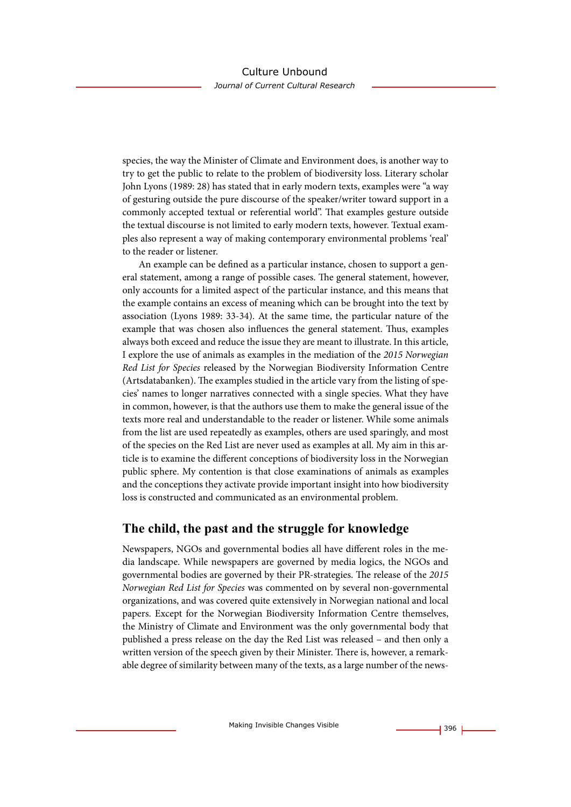species, the way the Minister of Climate and Environment does, is another way to try to get the public to relate to the problem of biodiversity loss. Literary scholar John Lyons (1989: 28) has stated that in early modern texts, examples were "a way of gesturing outside the pure discourse of the speaker/writer toward support in a commonly accepted textual or referential world". That examples gesture outside the textual discourse is not limited to early modern texts, however. Textual examples also represent a way of making contemporary environmental problems 'real' to the reader or listener.

An example can be defined as a particular instance, chosen to support a general statement, among a range of possible cases. The general statement, however, only accounts for a limited aspect of the particular instance, and this means that the example contains an excess of meaning which can be brought into the text by association (Lyons 1989: 33-34). At the same time, the particular nature of the example that was chosen also influences the general statement. Thus, examples always both exceed and reduce the issue they are meant to illustrate. In this article, I explore the use of animals as examples in the mediation of the *2015 Norwegian Red List for Species* released by the Norwegian Biodiversity Information Centre (Artsdatabanken). The examples studied in the article vary from the listing of species' names to longer narratives connected with a single species. What they have in common, however, is that the authors use them to make the general issue of the texts more real and understandable to the reader or listener. While some animals from the list are used repeatedly as examples, others are used sparingly, and most of the species on the Red List are never used as examples at all. My aim in this article is to examine the different conceptions of biodiversity loss in the Norwegian public sphere. My contention is that close examinations of animals as examples and the conceptions they activate provide important insight into how biodiversity loss is constructed and communicated as an environmental problem.

## **The child, the past and the struggle for knowledge**

Newspapers, NGOs and governmental bodies all have different roles in the media landscape. While newspapers are governed by media logics, the NGOs and governmental bodies are governed by their PR-strategies. The release of the *2015 Norwegian Red List for Species* was commented on by several non-governmental organizations, and was covered quite extensively in Norwegian national and local papers. Except for the Norwegian Biodiversity Information Centre themselves, the Ministry of Climate and Environment was the only governmental body that published a press release on the day the Red List was released – and then only a written version of the speech given by their Minister. There is, however, a remarkable degree of similarity between many of the texts, as a large number of the news-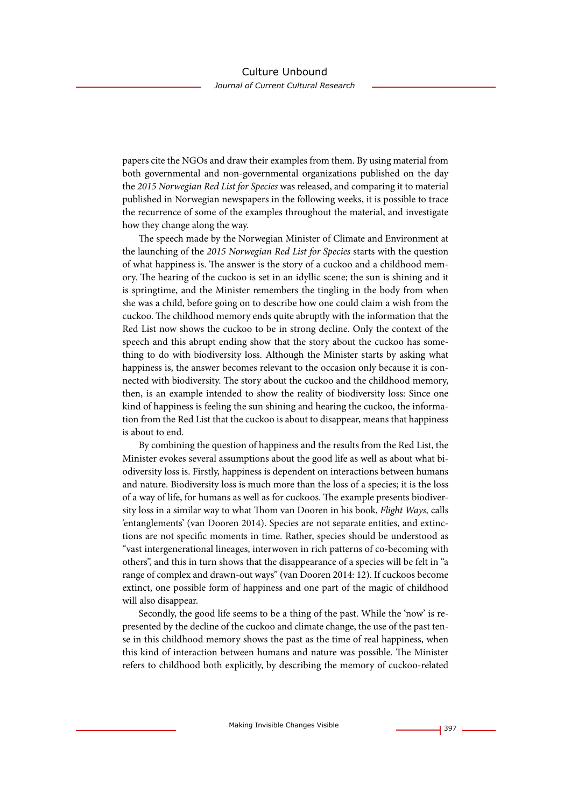papers cite the NGOs and draw their examples from them. By using material from both governmental and non-governmental organizations published on the day the *2015 Norwegian Red List for Species* was released, and comparing it to material published in Norwegian newspapers in the following weeks, it is possible to trace the recurrence of some of the examples throughout the material, and investigate how they change along the way.

The speech made by the Norwegian Minister of Climate and Environment at the launching of the *2015 Norwegian Red List for Species* starts with the question of what happiness is. The answer is the story of a cuckoo and a childhood memory. The hearing of the cuckoo is set in an idyllic scene; the sun is shining and it is springtime, and the Minister remembers the tingling in the body from when she was a child, before going on to describe how one could claim a wish from the cuckoo. The childhood memory ends quite abruptly with the information that the Red List now shows the cuckoo to be in strong decline. Only the context of the speech and this abrupt ending show that the story about the cuckoo has something to do with biodiversity loss. Although the Minister starts by asking what happiness is, the answer becomes relevant to the occasion only because it is connected with biodiversity. The story about the cuckoo and the childhood memory, then, is an example intended to show the reality of biodiversity loss: Since one kind of happiness is feeling the sun shining and hearing the cuckoo, the information from the Red List that the cuckoo is about to disappear, means that happiness is about to end.

By combining the question of happiness and the results from the Red List, the Minister evokes several assumptions about the good life as well as about what biodiversity loss is. Firstly, happiness is dependent on interactions between humans and nature. Biodiversity loss is much more than the loss of a species; it is the loss of a way of life, for humans as well as for cuckoos. The example presents biodiversity loss in a similar way to what Thom van Dooren in his book, *Flight Ways,* calls 'entanglements' (van Dooren 2014). Species are not separate entities, and extinctions are not specific moments in time. Rather, species should be understood as "vast intergenerational lineages, interwoven in rich patterns of co-becoming with others", and this in turn shows that the disappearance of a species will be felt in "a range of complex and drawn-out ways" (van Dooren 2014: 12). If cuckoos become extinct, one possible form of happiness and one part of the magic of childhood will also disappear.

Secondly, the good life seems to be a thing of the past. While the 'now' is represented by the decline of the cuckoo and climate change, the use of the past tense in this childhood memory shows the past as the time of real happiness, when this kind of interaction between humans and nature was possible. The Minister refers to childhood both explicitly, by describing the memory of cuckoo-related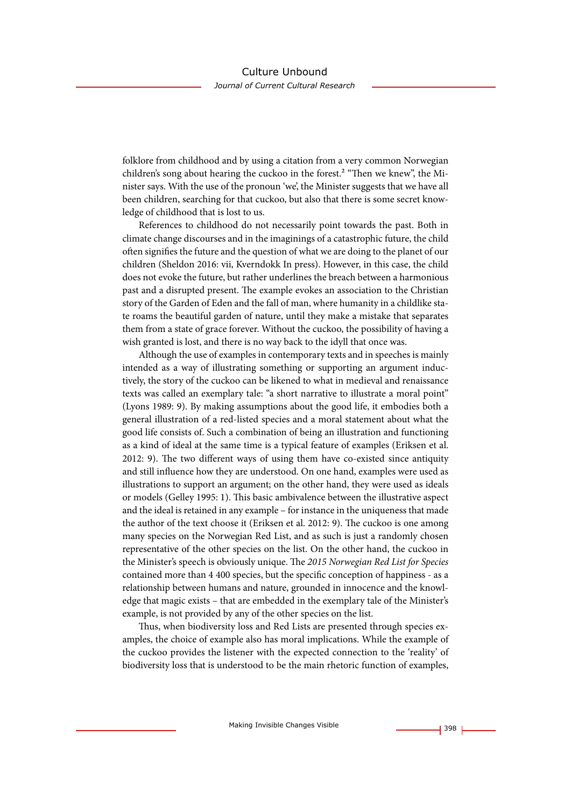folklore from childhood and by using a citation from a very common Norwegian children's song about hearing the cuckoo in the forest.<sup>2</sup> "Then we knew", the Minister says. With the use of the pronoun 'we', the Minister suggests that we have all been children, searching for that cuckoo, but also that there is some secret knowledge of childhood that is lost to us.

References to childhood do not necessarily point towards the past. Both in climate change discourses and in the imaginings of a catastrophic future, the child often signifies the future and the question of what we are doing to the planet of our children (Sheldon 2016: vii, Kverndokk In press). However, in this case, the child does not evoke the future, but rather underlines the breach between a harmonious past and a disrupted present. The example evokes an association to the Christian story of the Garden of Eden and the fall of man, where humanity in a childlike state roams the beautiful garden of nature, until they make a mistake that separates them from a state of grace forever. Without the cuckoo, the possibility of having a wish granted is lost, and there is no way back to the idyll that once was.

Although the use of examples in contemporary texts and in speeches is mainly intended as a way of illustrating something or supporting an argument inductively, the story of the cuckoo can be likened to what in medieval and renaissance texts was called an exemplary tale: "a short narrative to illustrate a moral point" (Lyons 1989: 9). By making assumptions about the good life, it embodies both a general illustration of a red-listed species and a moral statement about what the good life consists of. Such a combination of being an illustration and functioning as a kind of ideal at the same time is a typical feature of examples (Eriksen et al. 2012: 9). The two different ways of using them have co-existed since antiquity and still influence how they are understood. On one hand, examples were used as illustrations to support an argument; on the other hand, they were used as ideals or models (Gelley 1995: 1). This basic ambivalence between the illustrative aspect and the ideal is retained in any example – for instance in the uniqueness that made the author of the text choose it (Eriksen et al. 2012: 9). The cuckoo is one among many species on the Norwegian Red List, and as such is just a randomly chosen representative of the other species on the list. On the other hand, the cuckoo in the Minister's speech is obviously unique. The *2015 Norwegian Red List for Species* contained more than 4 400 species, but the specific conception of happiness - as a relationship between humans and nature, grounded in innocence and the knowledge that magic exists – that are embedded in the exemplary tale of the Minister's example, is not provided by any of the other species on the list.

Thus, when biodiversity loss and Red Lists are presented through species examples, the choice of example also has moral implications. While the example of the cuckoo provides the listener with the expected connection to the 'reality' of biodiversity loss that is understood to be the main rhetoric function of examples,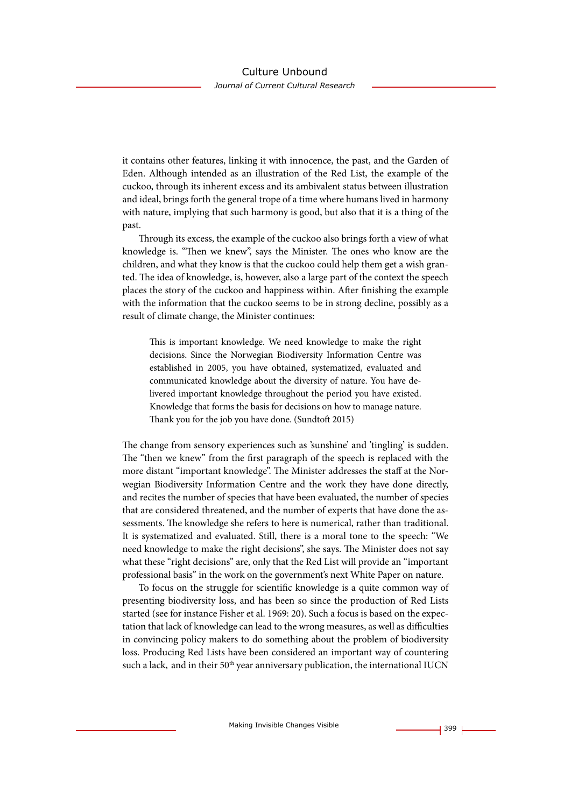## Culture Unbound

*Journal of Current Cultural Research*

it contains other features, linking it with innocence, the past, and the Garden of Eden. Although intended as an illustration of the Red List, the example of the cuckoo, through its inherent excess and its ambivalent status between illustration and ideal, brings forth the general trope of a time where humans lived in harmony with nature, implying that such harmony is good, but also that it is a thing of the past.

Through its excess, the example of the cuckoo also brings forth a view of what knowledge is. "Then we knew", says the Minister. The ones who know are the children, and what they know is that the cuckoo could help them get a wish granted. The idea of knowledge, is, however, also a large part of the context the speech places the story of the cuckoo and happiness within. After finishing the example with the information that the cuckoo seems to be in strong decline, possibly as a result of climate change, the Minister continues:

This is important knowledge. We need knowledge to make the right decisions. Since the Norwegian Biodiversity Information Centre was established in 2005, you have obtained, systematized, evaluated and communicated knowledge about the diversity of nature. You have delivered important knowledge throughout the period you have existed. Knowledge that forms the basis for decisions on how to manage nature. Thank you for the job you have done. (Sundtoft 2015)

The change from sensory experiences such as 'sunshine' and 'tingling' is sudden. The "then we knew" from the first paragraph of the speech is replaced with the more distant "important knowledge". The Minister addresses the staff at the Norwegian Biodiversity Information Centre and the work they have done directly, and recites the number of species that have been evaluated, the number of species that are considered threatened, and the number of experts that have done the assessments. The knowledge she refers to here is numerical, rather than traditional. It is systematized and evaluated. Still, there is a moral tone to the speech: "We need knowledge to make the right decisions", she says. The Minister does not say what these "right decisions" are, only that the Red List will provide an "important professional basis" in the work on the government's next White Paper on nature.

To focus on the struggle for scientific knowledge is a quite common way of presenting biodiversity loss, and has been so since the production of Red Lists started (see for instance Fisher et al. 1969: 20). Such a focus is based on the expectation that lack of knowledge can lead to the wrong measures, as well as difficulties in convincing policy makers to do something about the problem of biodiversity loss. Producing Red Lists have been considered an important way of countering such a lack, and in their 50<sup>th</sup> year anniversary publication, the international IUCN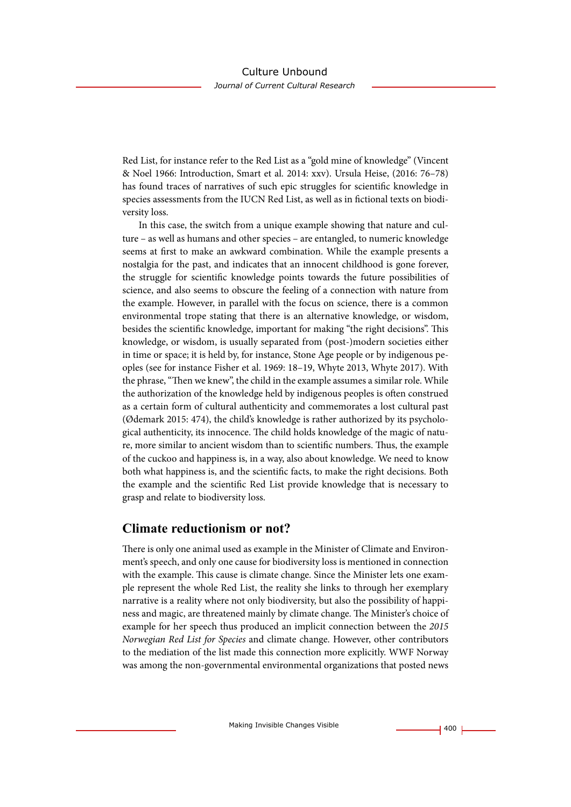Red List, for instance refer to the Red List as a "gold mine of knowledge" (Vincent & Noel 1966: Introduction, Smart et al. 2014: xxv). Ursula Heise, (2016: 76–78) has found traces of narratives of such epic struggles for scientific knowledge in species assessments from the IUCN Red List, as well as in fictional texts on biodiversity loss.

In this case, the switch from a unique example showing that nature and culture – as well as humans and other species – are entangled, to numeric knowledge seems at first to make an awkward combination. While the example presents a nostalgia for the past, and indicates that an innocent childhood is gone forever, the struggle for scientific knowledge points towards the future possibilities of science, and also seems to obscure the feeling of a connection with nature from the example. However, in parallel with the focus on science, there is a common environmental trope stating that there is an alternative knowledge, or wisdom, besides the scientific knowledge, important for making "the right decisions". This knowledge, or wisdom, is usually separated from (post-)modern societies either in time or space; it is held by, for instance, Stone Age people or by indigenous peoples (see for instance Fisher et al. 1969: 18–19, Whyte 2013, Whyte 2017). With the phrase, "Then we knew", the child in the example assumes a similar role. While the authorization of the knowledge held by indigenous peoples is often construed as a certain form of cultural authenticity and commemorates a lost cultural past (Ødemark 2015: 474), the child's knowledge is rather authorized by its psychological authenticity, its innocence. The child holds knowledge of the magic of nature, more similar to ancient wisdom than to scientific numbers. Thus, the example of the cuckoo and happiness is, in a way, also about knowledge. We need to know both what happiness is, and the scientific facts, to make the right decisions. Both the example and the scientific Red List provide knowledge that is necessary to grasp and relate to biodiversity loss.

## **Climate reductionism or not?**

There is only one animal used as example in the Minister of Climate and Environment's speech, and only one cause for biodiversity loss is mentioned in connection with the example. This cause is climate change. Since the Minister lets one example represent the whole Red List, the reality she links to through her exemplary narrative is a reality where not only biodiversity, but also the possibility of happiness and magic, are threatened mainly by climate change. The Minister's choice of example for her speech thus produced an implicit connection between the *2015 Norwegian Red List for Species* and climate change. However, other contributors to the mediation of the list made this connection more explicitly. WWF Norway was among the non-governmental environmental organizations that posted news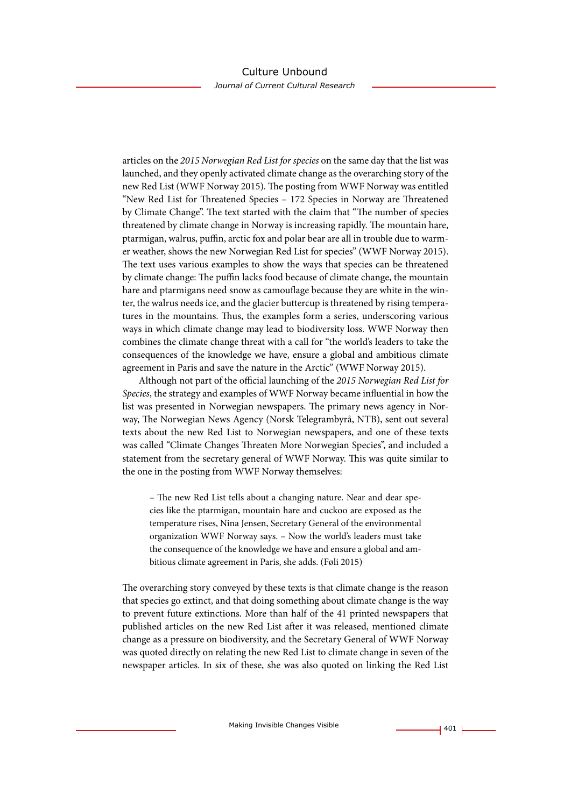articles on the *2015 Norwegian Red List for species* on the same day that the list was launched, and they openly activated climate change as the overarching story of the new Red List (WWF Norway 2015). The posting from WWF Norway was entitled "New Red List for Threatened Species – 172 Species in Norway are Threatened by Climate Change". The text started with the claim that "The number of species threatened by climate change in Norway is increasing rapidly. The mountain hare, ptarmigan, walrus, puffin, arctic fox and polar bear are all in trouble due to warmer weather, shows the new Norwegian Red List for species" (WWF Norway 2015). The text uses various examples to show the ways that species can be threatened by climate change: The puffin lacks food because of climate change, the mountain hare and ptarmigans need snow as camouflage because they are white in the winter, the walrus needs ice, and the glacier buttercup is threatened by rising temperatures in the mountains. Thus, the examples form a series, underscoring various ways in which climate change may lead to biodiversity loss. WWF Norway then combines the climate change threat with a call for "the world's leaders to take the consequences of the knowledge we have, ensure a global and ambitious climate agreement in Paris and save the nature in the Arctic" (WWF Norway 2015).

Although not part of the official launching of the *2015 Norwegian Red List for Species*, the strategy and examples of WWF Norway became influential in how the list was presented in Norwegian newspapers. The primary news agency in Norway, The Norwegian News Agency (Norsk Telegrambyrå, NTB), sent out several texts about the new Red List to Norwegian newspapers, and one of these texts was called "Climate Changes Threaten More Norwegian Species", and included a statement from the secretary general of WWF Norway. This was quite similar to the one in the posting from WWF Norway themselves:

– The new Red List tells about a changing nature. Near and dear species like the ptarmigan, mountain hare and cuckoo are exposed as the temperature rises, Nina Jensen, Secretary General of the environmental organization WWF Norway says. – Now the world's leaders must take the consequence of the knowledge we have and ensure a global and ambitious climate agreement in Paris, she adds. (Føli 2015)

The overarching story conveyed by these texts is that climate change is the reason that species go extinct, and that doing something about climate change is the way to prevent future extinctions. More than half of the 41 printed newspapers that published articles on the new Red List after it was released, mentioned climate change as a pressure on biodiversity, and the Secretary General of WWF Norway was quoted directly on relating the new Red List to climate change in seven of the newspaper articles. In six of these, she was also quoted on linking the Red List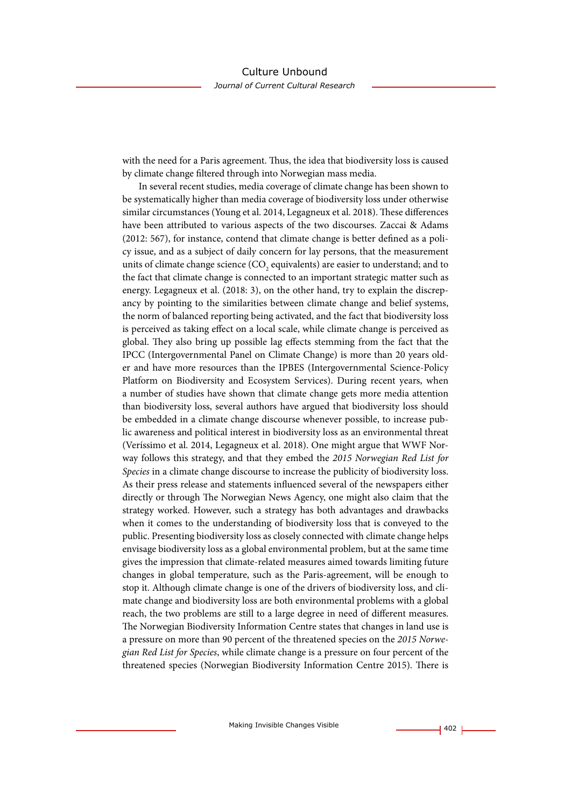with the need for a Paris agreement. Thus, the idea that biodiversity loss is caused by climate change filtered through into Norwegian mass media.

In several recent studies, media coverage of climate change has been shown to be systematically higher than media coverage of biodiversity loss under otherwise similar circumstances (Young et al. 2014, Legagneux et al. 2018). These differences have been attributed to various aspects of the two discourses. Zaccai & Adams (2012: 567), for instance, contend that climate change is better defined as a policy issue, and as a subject of daily concern for lay persons, that the measurement units of climate change science  $\left({\rm CO}_{\textrm{2}}\right)$  equivalents) are easier to understand; and to the fact that climate change is connected to an important strategic matter such as energy. Legagneux et al. (2018: 3), on the other hand, try to explain the discrepancy by pointing to the similarities between climate change and belief systems, the norm of balanced reporting being activated, and the fact that biodiversity loss is perceived as taking effect on a local scale, while climate change is perceived as global. They also bring up possible lag effects stemming from the fact that the IPCC (Intergovernmental Panel on Climate Change) is more than 20 years older and have more resources than the IPBES (Intergovernmental Science-Policy Platform on Biodiversity and Ecosystem Services). During recent years, when a number of studies have shown that climate change gets more media attention than biodiversity loss, several authors have argued that biodiversity loss should be embedded in a climate change discourse whenever possible, to increase public awareness and political interest in biodiversity loss as an environmental threat (Veríssimo et al. 2014, Legagneux et al. 2018). One might argue that WWF Norway follows this strategy, and that they embed the *2015 Norwegian Red List for Species* in a climate change discourse to increase the publicity of biodiversity loss. As their press release and statements influenced several of the newspapers either directly or through The Norwegian News Agency, one might also claim that the strategy worked. However, such a strategy has both advantages and drawbacks when it comes to the understanding of biodiversity loss that is conveyed to the public. Presenting biodiversity loss as closely connected with climate change helps envisage biodiversity loss as a global environmental problem, but at the same time gives the impression that climate-related measures aimed towards limiting future changes in global temperature, such as the Paris-agreement, will be enough to stop it. Although climate change is one of the drivers of biodiversity loss, and climate change and biodiversity loss are both environmental problems with a global reach, the two problems are still to a large degree in need of different measures. The Norwegian Biodiversity Information Centre states that changes in land use is a pressure on more than 90 percent of the threatened species on the *2015 Norwegian Red List for Species*, while climate change is a pressure on four percent of the threatened species (Norwegian Biodiversity Information Centre 2015). There is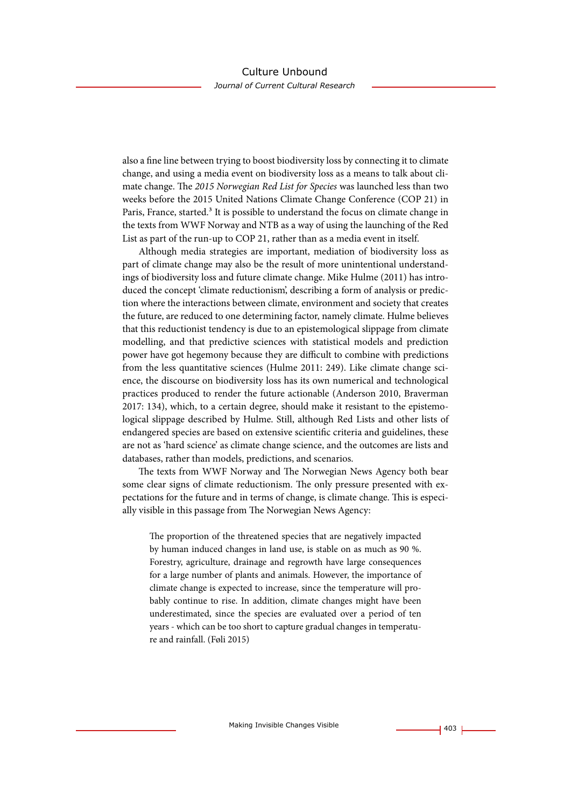also a fine line between trying to boost biodiversity loss by connecting it to climate change, and using a media event on biodiversity loss as a means to talk about climate change. The *2015 Norwegian Red List for Species* was launched less than two weeks before the 2015 United Nations Climate Change Conference (COP 21) in Paris, France, started.<sup>3</sup> It is possible to understand the focus on climate change in the texts from WWF Norway and NTB as a way of using the launching of the Red List as part of the run-up to COP 21, rather than as a media event in itself.

Although media strategies are important, mediation of biodiversity loss as part of climate change may also be the result of more unintentional understandings of biodiversity loss and future climate change. Mike Hulme (2011) has introduced the concept 'climate reductionism', describing a form of analysis or prediction where the interactions between climate, environment and society that creates the future, are reduced to one determining factor, namely climate. Hulme believes that this reductionist tendency is due to an epistemological slippage from climate modelling, and that predictive sciences with statistical models and prediction power have got hegemony because they are difficult to combine with predictions from the less quantitative sciences (Hulme 2011: 249). Like climate change science, the discourse on biodiversity loss has its own numerical and technological practices produced to render the future actionable (Anderson 2010, Braverman 2017: 134), which, to a certain degree, should make it resistant to the epistemological slippage described by Hulme. Still, although Red Lists and other lists of endangered species are based on extensive scientific criteria and guidelines, these are not as 'hard science' as climate change science, and the outcomes are lists and databases, rather than models, predictions, and scenarios.

The texts from WWF Norway and The Norwegian News Agency both bear some clear signs of climate reductionism. The only pressure presented with expectations for the future and in terms of change, is climate change. This is especially visible in this passage from The Norwegian News Agency:

The proportion of the threatened species that are negatively impacted by human induced changes in land use, is stable on as much as 90 %. Forestry, agriculture, drainage and regrowth have large consequences for a large number of plants and animals. However, the importance of climate change is expected to increase, since the temperature will probably continue to rise. In addition, climate changes might have been underestimated, since the species are evaluated over a period of ten years - which can be too short to capture gradual changes in temperature and rainfall. (Føli 2015)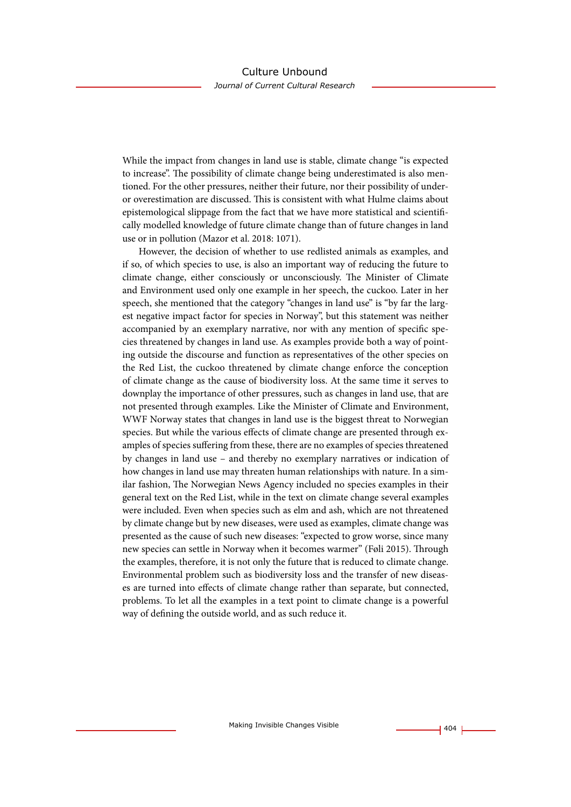While the impact from changes in land use is stable, climate change "is expected to increase". The possibility of climate change being underestimated is also mentioned. For the other pressures, neither their future, nor their possibility of underor overestimation are discussed. This is consistent with what Hulme claims about epistemological slippage from the fact that we have more statistical and scientifically modelled knowledge of future climate change than of future changes in land use or in pollution (Mazor et al. 2018: 1071).

However, the decision of whether to use redlisted animals as examples, and if so, of which species to use, is also an important way of reducing the future to climate change, either consciously or unconsciously. The Minister of Climate and Environment used only one example in her speech, the cuckoo. Later in her speech, she mentioned that the category "changes in land use" is "by far the largest negative impact factor for species in Norway", but this statement was neither accompanied by an exemplary narrative, nor with any mention of specific species threatened by changes in land use. As examples provide both a way of pointing outside the discourse and function as representatives of the other species on the Red List, the cuckoo threatened by climate change enforce the conception of climate change as the cause of biodiversity loss. At the same time it serves to downplay the importance of other pressures, such as changes in land use, that are not presented through examples. Like the Minister of Climate and Environment, WWF Norway states that changes in land use is the biggest threat to Norwegian species. But while the various effects of climate change are presented through examples of species suffering from these, there are no examples of species threatened by changes in land use – and thereby no exemplary narratives or indication of how changes in land use may threaten human relationships with nature. In a similar fashion, The Norwegian News Agency included no species examples in their general text on the Red List, while in the text on climate change several examples were included. Even when species such as elm and ash, which are not threatened by climate change but by new diseases, were used as examples, climate change was presented as the cause of such new diseases: "expected to grow worse, since many new species can settle in Norway when it becomes warmer" (Føli 2015). Through the examples, therefore, it is not only the future that is reduced to climate change. Environmental problem such as biodiversity loss and the transfer of new diseases are turned into effects of climate change rather than separate, but connected, problems. To let all the examples in a text point to climate change is a powerful way of defining the outside world, and as such reduce it.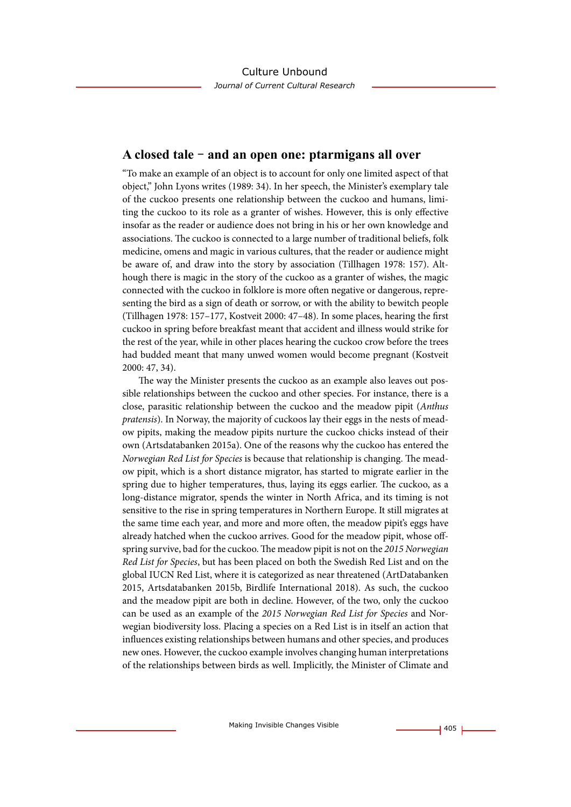## **A closed tale – and an open one: ptarmigans all over**

"To make an example of an object is to account for only one limited aspect of that object," John Lyons writes (1989: 34). In her speech, the Minister's exemplary tale of the cuckoo presents one relationship between the cuckoo and humans, limiting the cuckoo to its role as a granter of wishes. However, this is only effective insofar as the reader or audience does not bring in his or her own knowledge and associations. The cuckoo is connected to a large number of traditional beliefs, folk medicine, omens and magic in various cultures, that the reader or audience might be aware of, and draw into the story by association (Tillhagen 1978: 157). Although there is magic in the story of the cuckoo as a granter of wishes, the magic connected with the cuckoo in folklore is more often negative or dangerous, representing the bird as a sign of death or sorrow, or with the ability to bewitch people (Tillhagen 1978: 157–177, Kostveit 2000: 47–48). In some places, hearing the first cuckoo in spring before breakfast meant that accident and illness would strike for the rest of the year, while in other places hearing the cuckoo crow before the trees had budded meant that many unwed women would become pregnant (Kostveit 2000: 47, 34).

The way the Minister presents the cuckoo as an example also leaves out possible relationships between the cuckoo and other species. For instance, there is a close, parasitic relationship between the cuckoo and the meadow pipit (*Anthus pratensis*). In Norway, the majority of cuckoos lay their eggs in the nests of meadow pipits, making the meadow pipits nurture the cuckoo chicks instead of their own (Artsdatabanken 2015a). One of the reasons why the cuckoo has entered the *Norwegian Red List for Species* is because that relationship is changing. The meadow pipit, which is a short distance migrator, has started to migrate earlier in the spring due to higher temperatures, thus, laying its eggs earlier. The cuckoo, as a long-distance migrator, spends the winter in North Africa, and its timing is not sensitive to the rise in spring temperatures in Northern Europe. It still migrates at the same time each year, and more and more often, the meadow pipit's eggs have already hatched when the cuckoo arrives. Good for the meadow pipit, whose offspring survive, bad for the cuckoo. The meadow pipit is not on the *2015 Norwegian Red List for Species*, but has been placed on both the Swedish Red List and on the global IUCN Red List, where it is categorized as near threatened (ArtDatabanken 2015, Artsdatabanken 2015b, Birdlife International 2018). As such, the cuckoo and the meadow pipit are both in decline. However, of the two, only the cuckoo can be used as an example of the *2015 Norwegian Red List for Species* and Norwegian biodiversity loss. Placing a species on a Red List is in itself an action that influences existing relationships between humans and other species, and produces new ones. However, the cuckoo example involves changing human interpretations of the relationships between birds as well. Implicitly, the Minister of Climate and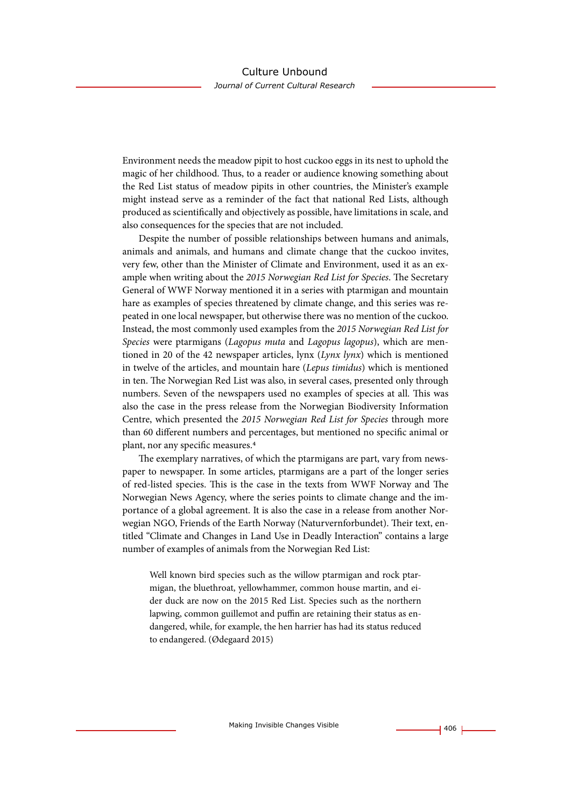Environment needs the meadow pipit to host cuckoo eggs in its nest to uphold the magic of her childhood. Thus, to a reader or audience knowing something about the Red List status of meadow pipits in other countries, the Minister's example might instead serve as a reminder of the fact that national Red Lists, although produced as scientifically and objectively as possible, have limitations in scale, and also consequences for the species that are not included.

Despite the number of possible relationships between humans and animals, animals and animals, and humans and climate change that the cuckoo invites, very few, other than the Minister of Climate and Environment, used it as an example when writing about the *2015 Norwegian Red List for Species*. The Secretary General of WWF Norway mentioned it in a series with ptarmigan and mountain hare as examples of species threatened by climate change, and this series was repeated in one local newspaper, but otherwise there was no mention of the cuckoo. Instead, the most commonly used examples from the *2015 Norwegian Red List for Species* were ptarmigans (*Lagopus muta* and *Lagopus lagopus*), which are mentioned in 20 of the 42 newspaper articles, lynx (*Lynx lynx*) which is mentioned in twelve of the articles, and mountain hare (*Lepus timidus*) which is mentioned in ten. The Norwegian Red List was also, in several cases, presented only through numbers. Seven of the newspapers used no examples of species at all. This was also the case in the press release from the Norwegian Biodiversity Information Centre, which presented the *2015 Norwegian Red List for Species* through more than 60 different numbers and percentages, but mentioned no specific animal or plant, nor any specific measures.4

The exemplary narratives, of which the ptarmigans are part, vary from newspaper to newspaper. In some articles, ptarmigans are a part of the longer series of red-listed species. This is the case in the texts from WWF Norway and The Norwegian News Agency, where the series points to climate change and the importance of a global agreement. It is also the case in a release from another Norwegian NGO, Friends of the Earth Norway (Naturvernforbundet). Their text, entitled "Climate and Changes in Land Use in Deadly Interaction" contains a large number of examples of animals from the Norwegian Red List:

Well known bird species such as the willow ptarmigan and rock ptarmigan, the bluethroat, yellowhammer, common house martin, and eider duck are now on the 2015 Red List. Species such as the northern lapwing, common guillemot and puffin are retaining their status as endangered, while, for example, the hen harrier has had its status reduced to endangered. (Ødegaard 2015)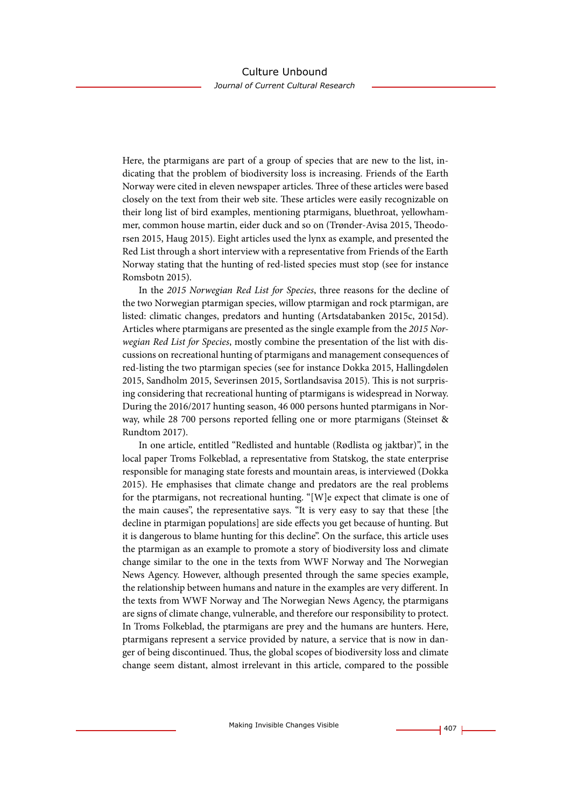Here, the ptarmigans are part of a group of species that are new to the list, indicating that the problem of biodiversity loss is increasing. Friends of the Earth Norway were cited in eleven newspaper articles. Three of these articles were based closely on the text from their web site. These articles were easily recognizable on their long list of bird examples, mentioning ptarmigans, bluethroat, yellowhammer, common house martin, eider duck and so on (Trønder-Avisa 2015, Theodorsen 2015, Haug 2015). Eight articles used the lynx as example, and presented the Red List through a short interview with a representative from Friends of the Earth Norway stating that the hunting of red-listed species must stop (see for instance Romsbotn 2015).

In the *2015 Norwegian Red List for Species*, three reasons for the decline of the two Norwegian ptarmigan species, willow ptarmigan and rock ptarmigan, are listed: climatic changes, predators and hunting (Artsdatabanken 2015c, 2015d). Articles where ptarmigans are presented as the single example from the *2015 Norwegian Red List for Species*, mostly combine the presentation of the list with discussions on recreational hunting of ptarmigans and management consequences of red-listing the two ptarmigan species (see for instance Dokka 2015, Hallingdølen 2015, Sandholm 2015, Severinsen 2015, Sortlandsavisa 2015). This is not surprising considering that recreational hunting of ptarmigans is widespread in Norway. During the 2016/2017 hunting season, 46 000 persons hunted ptarmigans in Norway, while 28 700 persons reported felling one or more ptarmigans (Steinset & Rundtom 2017).

In one article, entitled "Redlisted and huntable (Rødlista og jaktbar)", in the local paper Troms Folkeblad, a representative from Statskog, the state enterprise responsible for managing state forests and mountain areas, is interviewed (Dokka 2015). He emphasises that climate change and predators are the real problems for the ptarmigans, not recreational hunting. "[W]e expect that climate is one of the main causes", the representative says. "It is very easy to say that these [the decline in ptarmigan populations] are side effects you get because of hunting. But it is dangerous to blame hunting for this decline". On the surface, this article uses the ptarmigan as an example to promote a story of biodiversity loss and climate change similar to the one in the texts from WWF Norway and The Norwegian News Agency. However, although presented through the same species example, the relationship between humans and nature in the examples are very different. In the texts from WWF Norway and The Norwegian News Agency, the ptarmigans are signs of climate change, vulnerable, and therefore our responsibility to protect. In Troms Folkeblad, the ptarmigans are prey and the humans are hunters. Here, ptarmigans represent a service provided by nature, a service that is now in danger of being discontinued. Thus, the global scopes of biodiversity loss and climate change seem distant, almost irrelevant in this article, compared to the possible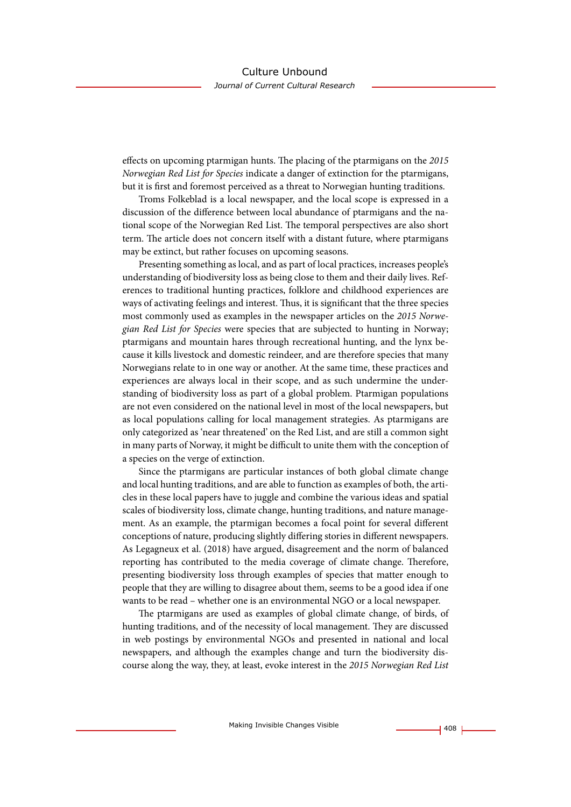effects on upcoming ptarmigan hunts. The placing of the ptarmigans on the *2015 Norwegian Red List for Species* indicate a danger of extinction for the ptarmigans, but it is first and foremost perceived as a threat to Norwegian hunting traditions.

Troms Folkeblad is a local newspaper, and the local scope is expressed in a discussion of the difference between local abundance of ptarmigans and the national scope of the Norwegian Red List. The temporal perspectives are also short term. The article does not concern itself with a distant future, where ptarmigans may be extinct, but rather focuses on upcoming seasons.

Presenting something as local, and as part of local practices, increases people's understanding of biodiversity loss as being close to them and their daily lives. References to traditional hunting practices, folklore and childhood experiences are ways of activating feelings and interest. Thus, it is significant that the three species most commonly used as examples in the newspaper articles on the *2015 Norwegian Red List for Species* were species that are subjected to hunting in Norway; ptarmigans and mountain hares through recreational hunting, and the lynx because it kills livestock and domestic reindeer, and are therefore species that many Norwegians relate to in one way or another. At the same time, these practices and experiences are always local in their scope, and as such undermine the understanding of biodiversity loss as part of a global problem. Ptarmigan populations are not even considered on the national level in most of the local newspapers, but as local populations calling for local management strategies. As ptarmigans are only categorized as 'near threatened' on the Red List, and are still a common sight in many parts of Norway, it might be difficult to unite them with the conception of a species on the verge of extinction.

Since the ptarmigans are particular instances of both global climate change and local hunting traditions, and are able to function as examples of both, the articles in these local papers have to juggle and combine the various ideas and spatial scales of biodiversity loss, climate change, hunting traditions, and nature management. As an example, the ptarmigan becomes a focal point for several different conceptions of nature, producing slightly differing stories in different newspapers. As Legagneux et al. (2018) have argued, disagreement and the norm of balanced reporting has contributed to the media coverage of climate change. Therefore, presenting biodiversity loss through examples of species that matter enough to people that they are willing to disagree about them, seems to be a good idea if one wants to be read – whether one is an environmental NGO or a local newspaper.

The ptarmigans are used as examples of global climate change, of birds, of hunting traditions, and of the necessity of local management. They are discussed in web postings by environmental NGOs and presented in national and local newspapers, and although the examples change and turn the biodiversity discourse along the way, they, at least, evoke interest in the *2015 Norwegian Red List*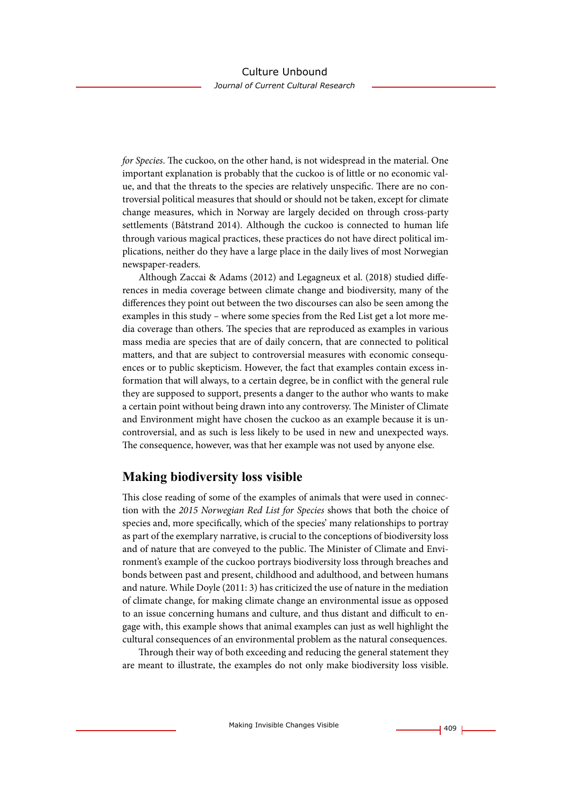*for Species*. The cuckoo, on the other hand, is not widespread in the material. One important explanation is probably that the cuckoo is of little or no economic value, and that the threats to the species are relatively unspecific. There are no controversial political measures that should or should not be taken, except for climate change measures, which in Norway are largely decided on through cross-party settlements (Båtstrand 2014). Although the cuckoo is connected to human life through various magical practices, these practices do not have direct political implications, neither do they have a large place in the daily lives of most Norwegian newspaper-readers.

Although Zaccai & Adams (2012) and Legagneux et al. (2018) studied differences in media coverage between climate change and biodiversity, many of the differences they point out between the two discourses can also be seen among the examples in this study – where some species from the Red List get a lot more media coverage than others. The species that are reproduced as examples in various mass media are species that are of daily concern, that are connected to political matters, and that are subject to controversial measures with economic consequences or to public skepticism. However, the fact that examples contain excess information that will always, to a certain degree, be in conflict with the general rule they are supposed to support, presents a danger to the author who wants to make a certain point without being drawn into any controversy. The Minister of Climate and Environment might have chosen the cuckoo as an example because it is uncontroversial, and as such is less likely to be used in new and unexpected ways. The consequence, however, was that her example was not used by anyone else.

## **Making biodiversity loss visible**

This close reading of some of the examples of animals that were used in connection with the *2015 Norwegian Red List for Species* shows that both the choice of species and, more specifically, which of the species' many relationships to portray as part of the exemplary narrative, is crucial to the conceptions of biodiversity loss and of nature that are conveyed to the public. The Minister of Climate and Environment's example of the cuckoo portrays biodiversity loss through breaches and bonds between past and present, childhood and adulthood, and between humans and nature. While Doyle (2011: 3) has criticized the use of nature in the mediation of climate change, for making climate change an environmental issue as opposed to an issue concerning humans and culture, and thus distant and difficult to engage with, this example shows that animal examples can just as well highlight the cultural consequences of an environmental problem as the natural consequences.

Through their way of both exceeding and reducing the general statement they are meant to illustrate, the examples do not only make biodiversity loss visible.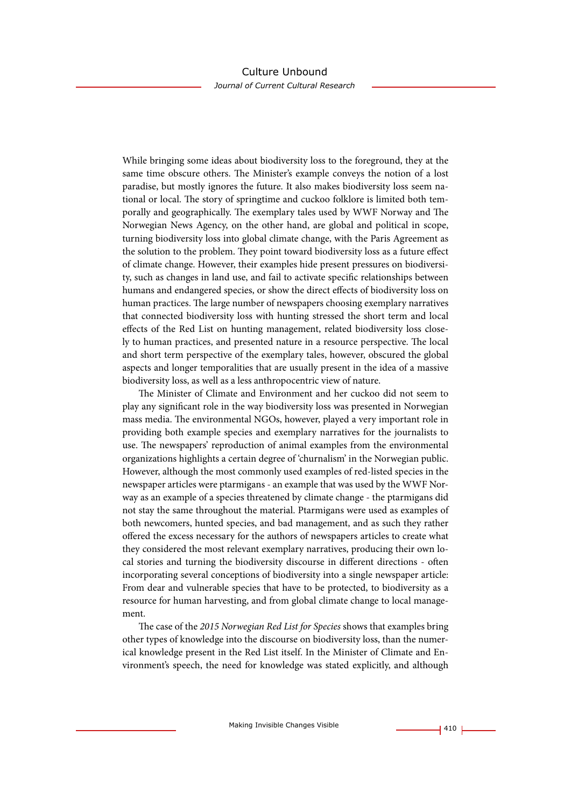While bringing some ideas about biodiversity loss to the foreground, they at the same time obscure others. The Minister's example conveys the notion of a lost paradise, but mostly ignores the future. It also makes biodiversity loss seem national or local. The story of springtime and cuckoo folklore is limited both temporally and geographically. The exemplary tales used by WWF Norway and The Norwegian News Agency, on the other hand, are global and political in scope, turning biodiversity loss into global climate change, with the Paris Agreement as the solution to the problem. They point toward biodiversity loss as a future effect of climate change. However, their examples hide present pressures on biodiversity, such as changes in land use, and fail to activate specific relationships between humans and endangered species, or show the direct effects of biodiversity loss on human practices. The large number of newspapers choosing exemplary narratives that connected biodiversity loss with hunting stressed the short term and local effects of the Red List on hunting management, related biodiversity loss closely to human practices, and presented nature in a resource perspective. The local and short term perspective of the exemplary tales, however, obscured the global aspects and longer temporalities that are usually present in the idea of a massive biodiversity loss, as well as a less anthropocentric view of nature.

The Minister of Climate and Environment and her cuckoo did not seem to play any significant role in the way biodiversity loss was presented in Norwegian mass media. The environmental NGOs, however, played a very important role in providing both example species and exemplary narratives for the journalists to use. The newspapers' reproduction of animal examples from the environmental organizations highlights a certain degree of 'churnalism' in the Norwegian public. However, although the most commonly used examples of red-listed species in the newspaper articles were ptarmigans - an example that was used by the WWF Norway as an example of a species threatened by climate change - the ptarmigans did not stay the same throughout the material. Ptarmigans were used as examples of both newcomers, hunted species, and bad management, and as such they rather offered the excess necessary for the authors of newspapers articles to create what they considered the most relevant exemplary narratives, producing their own local stories and turning the biodiversity discourse in different directions - often incorporating several conceptions of biodiversity into a single newspaper article: From dear and vulnerable species that have to be protected, to biodiversity as a resource for human harvesting, and from global climate change to local management.

The case of the *2015 Norwegian Red List for Species* shows that examples bring other types of knowledge into the discourse on biodiversity loss, than the numerical knowledge present in the Red List itself. In the Minister of Climate and Environment's speech, the need for knowledge was stated explicitly, and although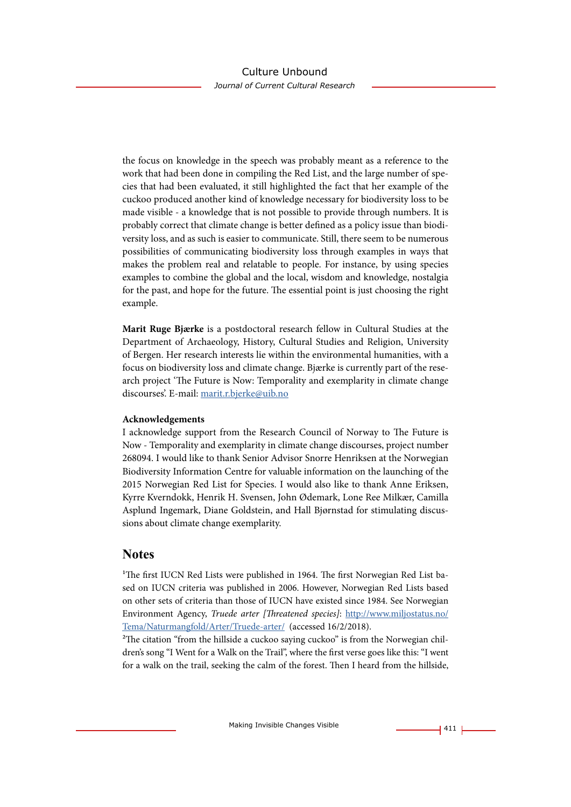the focus on knowledge in the speech was probably meant as a reference to the work that had been done in compiling the Red List, and the large number of species that had been evaluated, it still highlighted the fact that her example of the cuckoo produced another kind of knowledge necessary for biodiversity loss to be made visible - a knowledge that is not possible to provide through numbers. It is probably correct that climate change is better defined as a policy issue than biodiversity loss, and as such is easier to communicate. Still, there seem to be numerous possibilities of communicating biodiversity loss through examples in ways that makes the problem real and relatable to people. For instance, by using species examples to combine the global and the local, wisdom and knowledge, nostalgia for the past, and hope for the future. The essential point is just choosing the right example.

**Marit Ruge Bjærke** is a postdoctoral research fellow in Cultural Studies at the Department of Archaeology, History, Cultural Studies and Religion, University of Bergen. Her research interests lie within the environmental humanities, with a focus on biodiversity loss and climate change. Bjærke is currently part of the research project 'The Future is Now: Temporality and exemplarity in climate change discourses'. E-mail: [marit.r.bjerke@uib.no](mailto:marit.r.bjerke@uib.no)

#### **Acknowledgements**

I acknowledge support from the Research Council of Norway to The Future is Now - Temporality and exemplarity in climate change discourses, project number 268094. I would like to thank Senior Advisor Snorre Henriksen at the Norwegian Biodiversity Information Centre for valuable information on the launching of the 2015 Norwegian Red List for Species. I would also like to thank Anne Eriksen, Kyrre Kverndokk, Henrik H. Svensen, John Ødemark, Lone Ree Milkær, Camilla Asplund Ingemark, Diane Goldstein, and Hall Bjørnstad for stimulating discussions about climate change exemplarity.

## **Notes**

<sup>1</sup>The first IUCN Red Lists were published in 1964. The first Norwegian Red List based on IUCN criteria was published in 2006. However, Norwegian Red Lists based on other sets of criteria than those of IUCN have existed since 1984. See Norwegian Environment Agency, *Truede arter [Threatened species]*: [http://www.miljostatus.no/](http://www.miljostatus.no/Tema/Naturmangfold/Arter/Truede-arter/) [Tema/Naturmangfold/Arter/Truede-arter/](http://www.miljostatus.no/Tema/Naturmangfold/Arter/Truede-arter/) (accessed 16/2/2018).

<sup>2</sup>The citation "from the hillside a cuckoo saying cuckoo" is from the Norwegian children's song "I Went for a Walk on the Trail", where the first verse goes like this: "I went for a walk on the trail, seeking the calm of the forest. Then I heard from the hillside,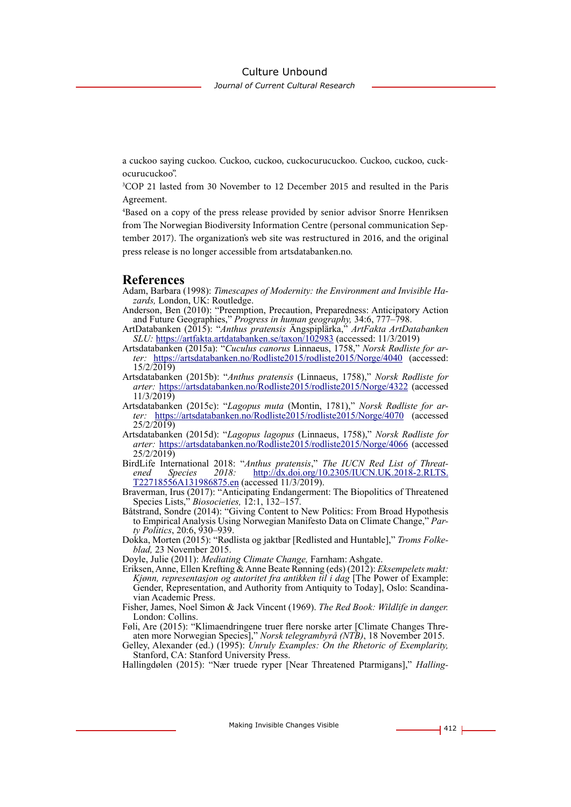*Journal of Current Cultural Research*

a cuckoo saying cuckoo. Cuckoo, cuckoo, cuckocurucuckoo. Cuckoo, cuckoo, cuckocurucuckoo".

3 COP 21 lasted from 30 November to 12 December 2015 and resulted in the Paris Agreement.

4 Based on a copy of the press release provided by senior advisor Snorre Henriksen from The Norwegian Biodiversity Information Centre (personal communication September 2017). The organization's web site was restructured in 2016, and the original press release is no longer accessible from artsdatabanken.no.

## **References**

- Adam, Barbara (1998): *Timescapes of Modernity: the Environment and Invisible Ha- zards,* London, UK: Routledge.
- Anderson, Ben (2010): "Preemption, Precaution, Preparedness: Anticipatory Action and Future Geographies," *Progress in human geography,* 34:6, 777–798.
- ArtDatabanken (2015): "*Anthus pratensis* Ängspiplärka," *ArtFakta ArtDatabanken SLU:* <https://artfakta.artdatabanken.se/taxon/102983> (accessed: 11/3/2019)
- Artsdatabanken (2015a): "*Cuculus canorus* Linnaeus, 1758," *Norsk Rødliste for ar- ter:* <https://artsdatabanken.no/Rodliste2015/rodliste2015/Norge/4040>(accessed: 15/2/2019)
- Artsdatabanken (2015b): "*Anthus pratensis* (Linnaeus, 1758)," *Norsk Rødliste for arter:* <https://artsdatabanken.no/Rodliste2015/rodliste2015/Norge/4322> (accessed 11/3/2019)<br>Artsdatabanken (2015c): "Lagopus muta (Montin, 1781)," Norsk Rødliste for ar-
- ter: <https://artsdatabanken.no/Rodliste2015/rodliste2015/Norge/4070> (accessed 25/2/2019)
- Artsdatabanken (2015d): "*Lagopus lagopus* (Linnaeus, 1758)," *Norsk Rødliste for arter:* <https://artsdatabanken.no/Rodliste2015/rodliste2015/Norge/4066>(accessed 25/2/2019)
- BirdLife International 2018: "*Anthus pratensis*," *The IUCN Red List of Threat- ened Species 2018:* [http://dx.doi.org/10.2305/IUCN.UK.2018-2.RLTS.](http://dx.doi.org/10.2305/IUCN.UK.2018-2.RLTS.T22718556A131986875.en) [T22718556A131986875.en](http://dx.doi.org/10.2305/IUCN.UK.2018-2.RLTS.T22718556A131986875.en) (accessed 11/3/2019).
- Braverman, Irus (2017): "Anticipating Endangerment: The Biopolitics of Threatened Species Lists," *Biosocieties,* 12:1, 132–157.
- Båtstrand, Sondre (2014): "Giving Content to New Politics: From Broad Hypothesis to Empirical Analysis Using Norwegian Manifesto Data on Climate Change," *Par- ty Politics*, 20:6, 930–939.
- Dokka, Morten (2015): "Rødlista og jaktbar [Redlisted and Huntable]," *Troms Folke- blad,* 23 November 2015.

Doyle, Julie (2011): *Mediating Climate Change,* Farnham: Ashgate.

- Eriksen, Anne, Ellen Krefting & Anne Beate Rønning (eds) (2012): *Eksempelets makt: Kjønn, representasjon og autoritet fra antikken til i dag* [The Power of Example: Gender, Representation, and Authority from Antiquity to Today], Oslo: Scandina- vian Academic Press.
- Fisher, James, Noel Simon & Jack Vincent (1969). *The Red Book: Wildlife in danger.* London: Collins.
- Føli, Are (2015): "Klimaendringene truer flere norske arter [Climate Changes Threaten more Norwegian Species]," *Norsk telegrambyrå (NTB)*, 18 November 2015.

Hallingdølen (2015): "Nær truede ryper [Near Threatened Ptarmigans]," *Halling-*

Gelley, Alexander (ed.) (1995): *Unruly Examples: On the Rhetoric of Exemplarity,*  Stanford, CA: Stanford University Press.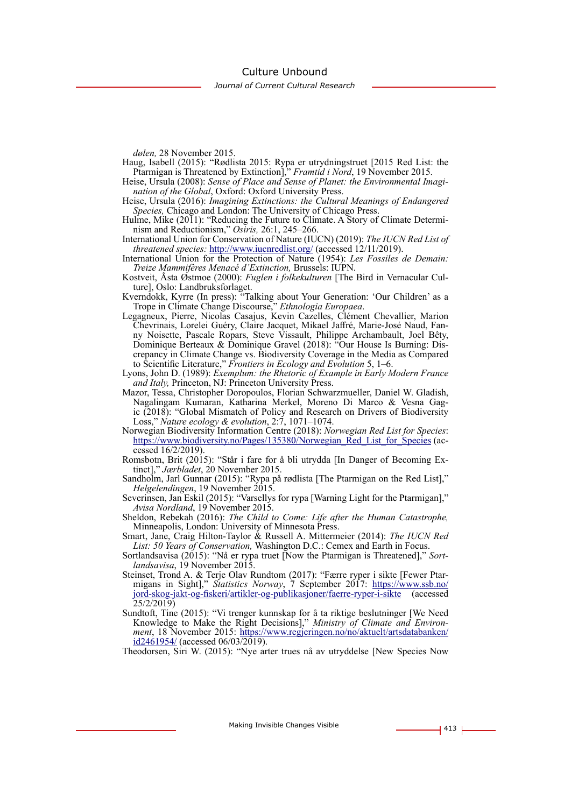Culture Unbound

*Journal of Current Cultural Research*

*dølen,* 28 November 2015.

- Haug, Isabell (2015): "Rødlista 2015: Rypa er utrydningstruet [2015 Red List: the Ptarmigan is Threatened by Extinction]," *Framtid i Nord*, 19 November 2015.
- Heise, Ursula (2008): *Sense of Place and Sense of Planet: the Environmental Imagination of the Global*, Oxford: Oxford University Press.
- Heise, Ursula (2016): *Imagining Extinctions: the Cultural Meanings of Endangered Species,* Chicago and London: The University of Chicago Press.
- Hulme, Mike (2011): "Reducing the Future to Climate. A Story of Climate Determinism and Reductionism," *Osiris,* 26:1, 245–266.
- International Union for Conservation of Nature (IUCN) (2019): *The IUCN Red List of threatened species:* <http://www.iucnredlist.org/>(accessed 12/11/2019).
- International Union for the Protection of Nature (1954): *Les Fossiles de Demain: Treize Mammifères Menacé d'Extinction,* Brussels: IUPN.
- Kostveit, Åsta Østmoe (2000): *Fuglen i folkekulturen* [The Bird in Vernacular Culture], Oslo: Landbruksforlaget.
- Kverndokk, Kyrre (In press): "Talking about Your Generation: 'Our Children' as a Trope in Climate Change Discourse," *Ethnologia Europaea*.
- Legagneux, Pierre, Nicolas Casajus, Kevin Cazelles, Clément Chevallier, Marion Chevrinais, Lorelei Guéry, Claire Jacquet, Mikael Jaffré, Marie-José Naud, Fanny Noisette, Pascale Ropars, Steve Vissault, Philippe Archambault, Joel Bêty, Dominique Berteaux & Dominique Gravel (2018): "Our House Is Burning: Discrepancy in Climate Change vs. Biodiversity Coverage in the Media as Compared to Scientific Literature," *Frontiers in Ecology and Evolution* 5, 1–6.
- Lyons, John D. (1989): *Exemplum: the Rhetoric of Example in Early Modern France and Italy,* Princeton, NJ: Princeton University Press.
- Mazor, Tessa, Christopher Doropoulos, Florian Schwarzmueller, Daniel W. Gladish, Nagalingam Kumaran, Katharina Merkel, Moreno Di Marco & Vesna Gagic (2018): "Global Mismatch of Policy and Research on Drivers of Biodiversity Loss," *Nature ecology & evolution*, 2:7, 1071–1074.
- Norwegian Biodiversity Information Centre (2018): *Norwegian Red List for Species*: [https://www.biodiversity.no/Pages/135380/Norwegian\\_Red\\_List\\_for\\_Species](https://www.biodiversity.no/Pages/135380/Norwegian_Red_List_for_Species) (accessed 16/2/2019).
- Romsbotn, Brit (2015): "Står i fare for å bli utrydda [In Danger of Becoming Extinct]," *Jærbladet*, 20 November 2015.
- Sandholm, Jarl Gunnar (2015): "Rypa på rødlista [The Ptarmigan on the Red List]," *Helgelendingen*, 19 November 2015.
- Severinsen, Jan Eskil (2015): "Varsellys for rypa [Warning Light for the Ptarmigan]," *Avisa Nordland*, 19 November 2015.
- Sheldon, Rebekah (2016): *The Child to Come: Life after the Human Catastrophe,*  Minneapolis, London: University of Minnesota Press.
- Smart, Jane, Craig Hilton-Taylor & Russell A. Mittermeier (2014): *The IUCN Red List: 50 Years of Conservation,* Washington D.C.: Cemex and Earth in Focus.
- Sortlandsavisa (2015): "Nå er rypa truet [Now the Ptarmigan is Threatened]," *Sort- landsavisa*, 19 November 2015.
- Steinset, Trond A. & Terje Olav Rundtom (2017): "Færre ryper i sikte [Fewer Ptar- migans in Sight]," *Statistics Norway*, 7 September 2017: [https://www.ssb.no/](https://www.ssb.no/jord-skog-jakt-og-fiskeri/artikler-og-publikasjoner/faerre-ryper-i-sikte) [jord-skog-jakt-og-fiskeri/artikler-og-publikasjoner/faerre-ryper-i-sikte](https://www.ssb.no/jord-skog-jakt-og-fiskeri/artikler-og-publikasjoner/faerre-ryper-i-sikte) (accessed 25/2/2019)
- Sundtoft, Tine (2015): "Vi trenger kunnskap for å ta riktige beslutninger [We Need Knowledge to Make the Right Decisions]," *Ministry of Climate and Environment*, 18 November 2015: [https://www.regjeringen.no/no/aktuelt/artsdatabanken/](https://www.regjeringen.no/no/aktuelt/artsdatabanken/id2461954/)  $\frac{\text{id}2461954}{\text{(accessed }06/03/2019)}$ .

Theodorsen, Siri W. (2015): "Nye arter trues nå av utryddelse [New Species Now